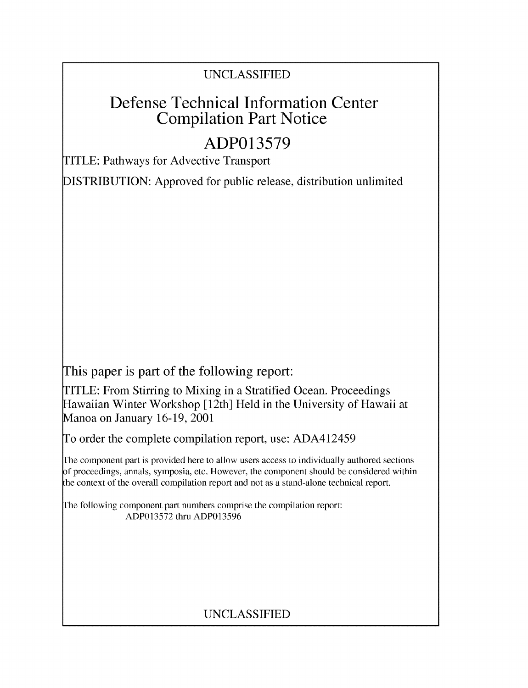## UNCLASSIFIED

# Defense Technical Information Center Compilation Part Notice

# **ADP013579**

TITLE: Pathways for Advective Transport

DISTRIBUTION: Approved for public release, distribution unlimited

This paper is part of the following report:

TITLE: From Stirring to Mixing in a Stratified Ocean. Proceedings Hawaiian Winter Workshop [ 12th] Held in the University of Hawaii at Manoa on January 16-19, 2001

To order the complete compilation report, use: ADA412459

The component part is provided here to allow users access to individually authored sections **)f** proceedings, annals, symposia, etc. However, the component should be considered within [he context of the overall compilation report and not as a stand-alone technical report.

The following component part numbers comprise the compilation report: ADP013572 thru ADP013596

## UNCLASSIFIED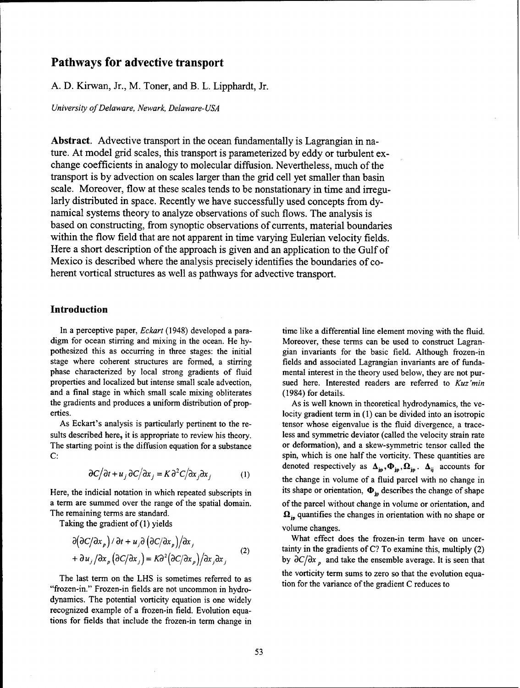## Pathways for advective transport

**A. D.** Kirwan, Jr., M. Toner, and B. L. Lipphardt, Jr.

*University of Delaware, Newark, Delaware- USA*

Abstract. Advective transport in the ocean fundamentally is Lagrangian in nature. At model grid scales, this transport is parameterized by eddy or turbulent exchange coefficients in analogy to molecular diffusion. Nevertheless, much of the transport is by advection on scales larger than the grid cell yet smaller than basin scale. Moreover, flow at these scales tends to be nonstationary in time and irregularly distributed in space. Recently we have successfully used concepts from dynamical systems theory to analyze observations of such flows. The analysis is based on constructing, from synoptic observations of currents, material boundaries within the flow field that are not apparent in time varying Eulerian velocity fields. Here a short description of the approach is given and an application to the Gulf of Mexico is described where the analysis precisely identifies the boundaries of coherent vortical structures as well as pathways for advective transport.

## Introduction

and a final stage in which small scale mixing obliterates (1984) for details. the gradients and produces a uniform distribution of prop-<br>As is well known in theoretical hydrodynamics, the veerties. locity gradient term in **(1)** can be divided into an isotropic

$$
\frac{\partial C}{\partial t} + u_j \frac{\partial C}{\partial x_j} = K \frac{\partial^2 C}{\partial x_j \partial x_j} \tag{1}
$$

Taking the gradient of (1) yields volume changes.

$$
\frac{\partial(\partial C/\partial x_p)}{\partial t} + u_j \frac{\partial(\partial C/\partial x_p)}{\partial x_j} = K \frac{\partial^2(\partial C/\partial x_p)}{\partial x_j} + \frac{\partial u_j}{\partial x_p} \frac{\partial C/\partial x_j}{\partial x_j}
$$
 (2)

"frozen-in." Frozen-in fields are not uncommon in hydrodynamics. The potential vorticity equation is one widely recognized example of a frozen-in field. Evolution equations for fields that include the frozen-in term change in

In a perceptive paper, *Eckart* (1948) developed a para- time like a differential line element moving with the fluid. digm for ocean stirring and mixing in the ocean. He hy- Moreover, these terms can be used to construct Lagranpothesized this as occurring in three stages: the initial gian invariants for the basic field. Although frozen-in stage where coherent structures are formed, a stirring fields and associated Lagrangian invariants are of fundaphase characterized by local strong gradients of fluid mental interest in the theory used below, they are not purproperties and localized but intense small scale advection, sued here. Interested readers are referred to *Kuz'min*

As Eckart's analysis is particularly pertinent to the re- tensor whose eigenvalue is the fluid divergence, a tracesults described here, it is appropriate to review his theory. less and symmetric deviator (called the velocity strain rate The starting point is the diffusion equation for a substance or deformation), and a skew-symmetric tensor called the C: Spin, which is one half the vorticity. These quantities are denoted respectively as  $\Delta_{jp}, \Phi_{jp}, \Omega_{jp}$ .  $\Delta_{ij}$  accounts for the change in volume of a fluid parcel with no change in Here, the indicial notation in which repeated subscripts in its shape or orientation,  $\Phi_{ip}$  describes the change of shape a term are summed over the range of the spatial domain. of the parcel without change in volume or orientation, and The remaining terms are standard.  $\Omega_{\rm in}$  quantifies the changes in orientation with no shape or

What effect does the frozen-in term have on uncertainty in the gradients of C? To examine this, multiply (2) by  $\partial C/\partial x$ , and take the ensemble average. It is seen that The last term on the LHS is sometimes referred to as the vorticity term sums to zero so that the evolution equa-<br>tion for the variance of the gradient C reduces to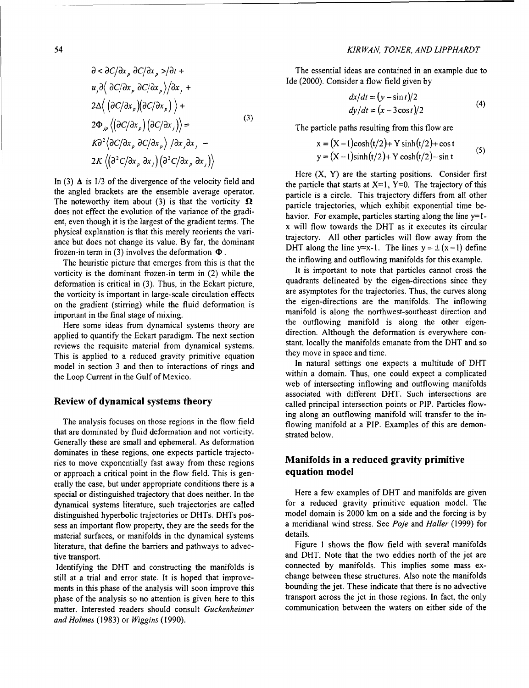$$
\frac{\partial}{\partial x_{p}} \frac{\partial}{\partial y_{p}} \frac{\partial}{\partial z_{p}} \frac{\partial}{\partial x_{p}} \frac{\partial}{\partial x_{p}} + \frac{\partial}{\partial y_{p}} \frac{\partial}{\partial x_{p}} \frac{\partial}{\partial x_{p}} \frac{\partial}{\partial x_{p}} + \frac{\partial}{\partial z_{p}} \frac{\partial}{\partial y_{p}} \frac{\partial}{\partial x_{p}} \frac{\partial}{\partial y_{p}} \frac{\partial}{\partial y_{p}} \frac{\partial}{\partial y_{p}} \frac{\partial}{\partial y_{p}} \frac{\partial}{\partial y_{p}} \frac{\partial}{\partial y_{p}} \frac{\partial}{\partial y_{p}} \frac{\partial}{\partial y_{p}} \frac{\partial}{\partial y_{p}} \frac{\partial}{\partial y_{p}} \frac{\partial}{\partial y_{p}} \frac{\partial}{\partial y_{p}} \frac{\partial}{\partial y_{p}} \frac{\partial}{\partial y_{p}} \frac{\partial}{\partial y_{p}} \frac{\partial}{\partial y_{p}} \frac{\partial}{\partial y_{p}} \frac{\partial}{\partial y_{p}} \frac{\partial}{\partial y_{p}} \frac{\partial}{\partial y_{p}} \frac{\partial}{\partial y_{p}} \frac{\partial}{\partial y_{p}} \frac{\partial}{\partial y_{p}} \frac{\partial}{\partial y_{p}} \frac{\partial}{\partial y_{p}} \frac{\partial}{\partial y_{p}} \frac{\partial}{\partial y_{p}} \frac{\partial}{\partial y_{p}} \frac{\partial}{\partial y_{p}} \frac{\partial}{\partial y_{p}} \frac{\partial}{\partial y_{p}} \frac{\partial}{\partial y_{p}} \frac{\partial}{\partial y_{p}} \frac{\partial}{\partial y_{p}} \frac{\partial}{\partial y_{p}} \frac{\partial}{\partial y_{p}} \frac{\partial}{\partial y_{p}} \frac{\partial}{\partial y_{p}} \frac{\partial}{\partial y_{p}} \frac{\partial}{\partial y_{p}} \frac{\partial}{\partial y_{p}} \frac{\partial}{\partial y_{p}} \frac{\partial}{\partial y_{p}} \frac{\partial}{\partial y_{p}} \frac{\partial}{\partial y_{p}} \frac{\partial}{\partial y_{p}} \frac{\partial}{\partial y_{p}} \frac{\partial}{\partial y_{p}} \frac{\partial}{\partial y_{p}} \frac{\partial}{\partial y_{p}} \frac{\partial}{\partial y_{p}} \frac{\partial}{\partial y_{p}} \frac{\partial}{\partial y_{p}} \frac{\partial}{\partial y_{p}} \frac{\partial}{\partial y_{p}} \frac{\partial}{\partial y_{p}} \frac{\partial}{\partial y_{p
$$

the angled brackets are the ensemble average operator. particle is a circle. This trajectory differs from all other The noteworthy item about  $(3)$  is that the vorticity  $\Omega$  particle trajectories, which exhibit exponential time bedoes not effect the evolution of the variance of the gradi-<br>havior. For example, particles starting along the line y=1ent, even though it is the largest of the gradient terms. The  $\frac{1}{x}$  will flow towards the DHT as it executes its circular physical explanation is that this merely reorients the vari-<br>trajectory. All other particles will flow away from the<br>trajectory. All other particles will flow away from the ance but does not change its value. By far, the dominant

The heuristic picture that emerges from this is that the the inflowing and outflowing manifolds for this example.<br>It is important to note that particles cannot cross the on the gradient (stirring) while the fluid deformation is

reviews the requisite material from dynamical systems. Stant, locally the manifolds emanate from the DHT and solution the DHT and solution the DHT and solution the DHT and solution the DHT and solution the DHT and solution This is applied to a reduced gravity primitive equation<br>model in section 3 and then to interactions of rings and The natural settings one expects a multitude of DHT model in section 3 and then to interactions of rings and

that are dominated by fluid deformation and not vorticity. strated below. Generally these are small and ephemeral. As deformation dominates in these regions, one expects particle trajectories to move exponentially fast away from these regions **Manifolds in a reduced gravity primitive**<br>or approach a critical point in the flow field. This is gen-<br>**equation model** or approach a critical point in the flow field. This is generally the case, but under appropriate conditions there is a special or distinguished trajectory that does neither. In the Here a few examples of DHT and manifolds are given<br>dynamical systems literature, such trajectories are called for a reduced gravity primitive equation model. Th dynamical systems literature, such trajectories are called for a reduced gravity primitive equation model. The<br>distinguished hyperbolic trajectories or DHTs, DHTs pos-<br>model domain is 2000 km on a side and the forcing is b distinguished hyperbolic trajectories or DHTs. DHTs possess an important flow property, they are the seeds for the a meridianal wind stress. See *Poje* and *Haller* (1999) for material surfaces, or manifolds in the dynamical systems details. literature, that define the barriers and pathways to advec-<br>Figure 1 shows the flow field with several manifolds

matter. Interested readers should consult *Guckenheimer* communication between the waters on either side of the *and Holmes* (1983) or *Wiggins* (1990).

The essential ideas are contained in an example due to Ide (2000). Consider a flow field given by

$$
dx/dt = (y - \sin t)/2
$$
  
\n
$$
dy/dt = (x - 3\cos t)/2
$$
 (4)

The particle paths resulting from this flow are

$$
x = (X-1)\cosh(t/2) + Y \sinh(t/2) + \cos t
$$
  
y = (X-1)\sinh(t/2) + Y \cosh(t/2) - \sin t (5)

In (3)  $\Delta$  is 1/3 of the divergence of the velocity field and Here (X, Y) are the starting positions. Consider first the particle that starts at  $X=1$ , Y=0. The trajectory of this frozen-in term in (3) involves the deformation  $\Phi$ .<br>The houristic picture that emerges from this is that the studies of the inflowing and outflowing manifolds for this example.

vorticity is the dominant frozen-in term in  $(2)$  while the It is important to note that particles cannot cross the deformation is critical in  $(3)$ . Thus, in the Eckert picture quadrants delineated by the eigen-direction deformation is critical in (3). Thus, in the Eckart picture, quadrants delineated by the eigen-directions since they<br>the verticity is important in large scale circulation effects are asymptotes for the trajectories. Thus, the vorticity is important in large-scale circulation effects are asymptotes for the trajectories. Thus, the curves along<br>an the gradient (stiming) while the fluid defermation is important in the final stage of mixing.<br>
Here some ideas from dynamical systems theory are the outflowing manifold is along the other eigen-Here some ideas from dynamical systems theory are the outflowing manifold is along the other eigen-<br>hied to quantify the Eckert paradigm. The next section direction. Although the deformation is everywhere conapplied to quantify the Eckart paradigm. The next section direction. Although the deformation is everywhere con-<br>stant, locally the manifolds emanate from the DHT and so

the Loop Current in the Gulf of Mexico. within a domain. Thus, one could expect a complicated the Loop Current in the Gulf of Mexico. web of intersecting inflowing and outflowing manifolds associated with different DHT. Such intersections are Review of dynamical systems theory called principal intersection points or PIP. Particles flowing along an outflowing manifold will transfer to the in-The analysis focuses on those regions in the flow field flowing manifold at a PIP. Examples of this are demon-

tive transport. **and DHT.** Note that the two eddies north of the jet are Identifying the DHT and constructing the manifolds is connected by manifolds. This implies some mass exstill at a trial and error state. It is hoped that improve- change between these structures. Also note the manifolds ments in this phase of the analysis will soon improve this bounding the jet. These indicate that there is no advective phase of the analysis so no attention is given here to this transport across the jet in those regions. In fact, the only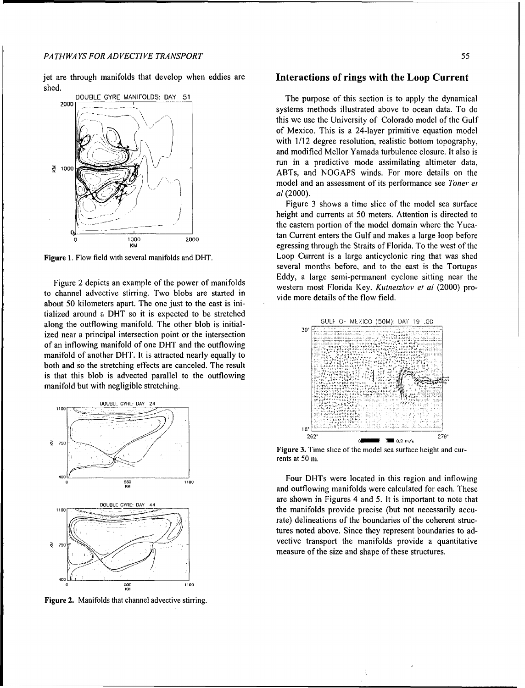jet are through manifolds that develop when eddies are Interactions of rings with the Loop Current shed.



to channel advective stirring. Two blobs are started in about 50 kilometers apart. The one just to the east is ini- vide more details of the flow **field** tialized around a DHT so it is expected to be stretched along the outflowing manifold. The other blob is initial-<br>30<sup>e</sup> Final Superior Culture of MEXICO (50M): DAY 191.00 ized near a principal intersection point or the intersection of an inflowing manifold of one DHT and the outflowing manifold of another DHT. It is attracted nearly equally to both and so the stretching effects are canceled. The result is that this blob is advected parallel to the outflowing manifold but with negligible stretching.



Figure 2. Manifolds that channel advective stirring.

DOUBLE GYRE MANIFOLDS: DAY 51 **The purpose of this section is to apply the dynamical** 2000 systems methods illustrated above to ocean data. To do this we use the University of Colorado model of the Gulf of Mexico. This is a 24-layer primitive equation model with  $1/12$  degree resolution, realistic bottom topography, and modified Mellor Yamada turbulence closure. It also is run in a predictive mode assimilating altimeter data,  $ABTs$ , and NOGAPS winds. For more details on the model and an assessment of its performance see *Toner et* I *a!* (2000).

Figure 3 shows a time slice of the model sea surface height and currents at 50 meters. Attention is directed to the eastern portion of the model domain where the Yuca-1000 **1.1000** 2000 **1.1000** tan Current enters the Gulf and makes a large loop before egressing through the Straits of Florida. To the west of the Figure 1. Flow field with several manifolds and DHT. Loop Current is a large anticyclonic ring that was shed several months before, and to the east is the Tortugas Eddy, a large semi-permanent cyclone sitting near the Figure 2 depicts an example of the power of manifolds western most Florida Key. Kutnetzkov et al (2000) pro-



**Figure 3.** Time slice of the model sea surface height and currents at 50 m.

**Four DHTs were located in this region and inflowing**<br>
<sup>550</sup> and outflowing manifolds were calculated for each. These **DOUBLE GYRE: DAY 44 DOUBLE GYRE:** DAY 44 **110,** the manifolds provide precise (but not necessarily accurate) delineations of the boundaries of the coherent structures noted above. Since they represent boundaries to ad- $\sum_{r>0}$  vective transport the manifolds provide a quantitative measure of the size and shape of these structures.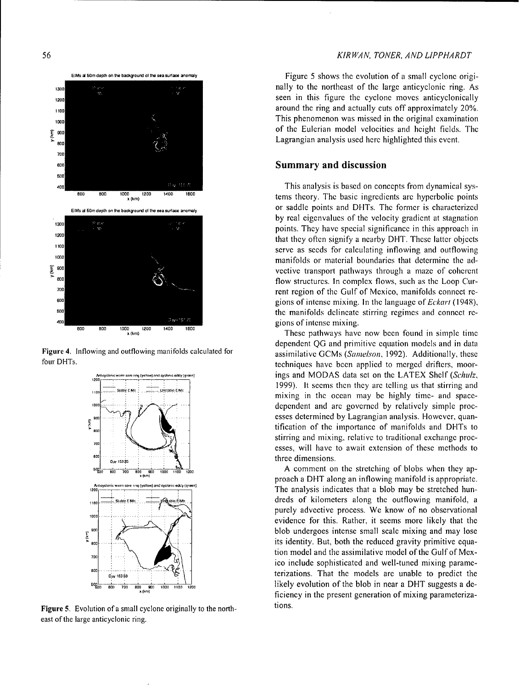



Figure 5. Evolution of a small cyclone originally to the northeast of the large anticyclonic ring.

## 56 *KIR WAN, TONER, AND LIPPHARDT*

ElMs al 50mdepth on the background of the sea. surface anormaly **Figure 5** shows the evolution of a small cyclone origi-1300 **10c <b>nally** to the northeast of the large anticyclonic ring. As <sup>1200</sup> <sup>120</sup> <sup>s</sup> and <sup>12</sup> seen in this figure the cyclone moves anticyclonically **around the ring and actually cuts off approximately 20%. loog the south of the set of the set of the set of the set of the set of the original examination** of the Eulerian model velocities and height fields. The Lagrangian analysis used here highlighted this event.

-oo This analysis is based on concepts from dynamical sys- **600 BO0 1000** 1200 **1,'00 1600** <sup>0</sup>/<sup>200</sup> <sup>1400</sup><sup>1400</sup> <sup>1600</sup> tems theory. The basic ingredients arc hyperbolic points **ElMs Ed** *60m* **depth on tho background** ol **the seaaoo anoraly** or saddle points and DITs. The former is characterized by real eigenvalues of the velocity gradient at stagnation points. They have special significance in this approach in 1200<br>that they often signify a nearby DHT. These latter objects<br>serve as seeds for calculating inflowing and outflowing<br>manifolds or material boundaries that determine the advective transport pathways through a maze of coherent **800 800flow structures. In complex flows, such as the Loop Cur-***700* **rent region of the Gulf of Mexico, manifolds connect re-<sup>600</sup>**gions of intense mixing. In the language of *Eckart* (1948), <sup>500</sup> **formulate** the manifolds delineate stirring regimes and connect re-

x(m) These pathways have now been found in simple time dependent QG and primitive equation models and in data Figure 4. Inflowing and outflowing manifolds calculated for assimilative GCMs *(Samelson, 1992)*. Additionally, these four DHTs. techniques have been applied to merged drifters, moorings and MODAS data set on the LATEX Shelf *(Schulz,* 1999). It seems then they are telling us that stirring and mixing in the ocean may be highly time- and spacedependent and are governed by relatively simple processes determined by Lagrangian analysis. However, quantification of the importance of manifolds and DHTs to stirring and mixing, relative to traditional exchange proc- **<sup>700</sup>**Tesses, will have to await extension of these methods to

> $\frac{1}{200}$   $\frac{1}{200}$   $\frac{1}{200}$   $\frac{1}{200}$   $\frac{1}{200}$   $\frac{1}{200}$   $\frac{1}{200}$   $\frac{1}{200}$   $\frac{1}{200}$   $\frac{1}{200}$   $\frac{1}{200}$   $\frac{1}{200}$   $\frac{1}{200}$   $\frac{1}{200}$   $\frac{1}{200}$   $\frac{1}{200}$   $\frac{1}{200}$   $\frac{1}{200}$   $\frac{1}{$  $1200$  -  $\frac{1}{200}$  -  $\frac{1}{200}$  -  $\frac{1}{200}$   $\frac{1}{200}$   $\frac{1}{200}$   $\frac{1}{200}$   $\frac{1}{200}$   $\frac{1}{200}$   $\frac{1}{200}$   $\frac{1}{200}$   $\frac{1}{200}$   $\frac{1}{200}$   $\frac{1}{200}$   $\frac{1}{200}$   $\frac{1}{200}$   $\frac{1}{200}$   $\frac{1}{200}$   $\frac{$ dreds of kilometers along the outflowing manifold, a purely advective process. We know of no observational **.1000** evidence for this. Rather, it seems more likely that the blob undergoes intense small scale mixing and may lose its identity. But, both the reduced gravity primitive equa- $\frac{1}{700}$  **tion model and the assimilative model of the Gulf of Mex**ico include sophisticated and well-tuned mixing parame- **0**<sup>2</sup> **1380 1381 1381 1381 1381 1381 1381 1381 1381 1381 1381 1381 1381 1381 1381 1381 1381 1381 1381 1381 1381 1381 1381 1381**  $\frac{1}{2000}$   $\frac{1}{600}$   $\frac{1}{700}$   $\frac{1}{200}$   $\frac{1}{1000}$   $\frac{1}{1000}$   $\frac{1}{100}$   $\frac{1}{200}$   $\frac{1}{200}$   $\frac{1}{200}$   $\frac{1}{200}$   $\frac{1}{200}$   $\frac{1}{200}$   $\frac{1}{200}$   $\frac{1}{200}$   $\frac{1}{200}$   $\frac{1}{200}$   $\frac{1}{200}$   $\frac$ ficiency in the present generation of mixing parameteriza-